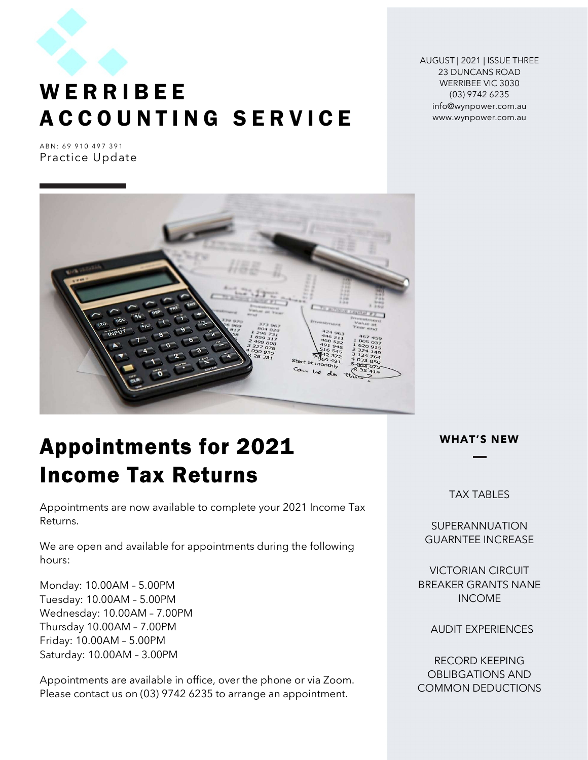

# **WERRIBEE** A C C O U N T I N G S E R V I C E

AUGUST | 2021 | ISSUE THREE 23 DUNCANS ROAD WERRIBEE VIC 3030 (03) 9742 6235 info@wynpower.com.au www.wynpower.com.au

ABN: 69 910 497 391 Practice Update



# Appointments for 2021 Income Tax Returns

Appointments are now available to complete your 2021 Income Tax Returns.

We are open and available for appointments during the following hours:

Monday: 10.00AM – 5.00PM Tuesday: 10.00AM – 5.00PM Wednesday: 10.00AM – 7.00PM Thursday 10.00AM – 7.00PM Friday: 10.00AM – 5.00PM Saturday: 10.00AM – 3.00PM

Appointments are available in office, over the phone or via Zoom. Please contact us on (03) 9742 6235 to arrange an appointment.

WHAT'S NEW

TAX TABLES

**SUPERANNUATION** GUARNTEE INCREASE

VICTORIAN CIRCUIT BREAKER GRANTS NANE INCOME

AUDIT EXPERIENCES

RECORD KEEPING OBLIBGATIONS AND COMMON DEDUCTIONS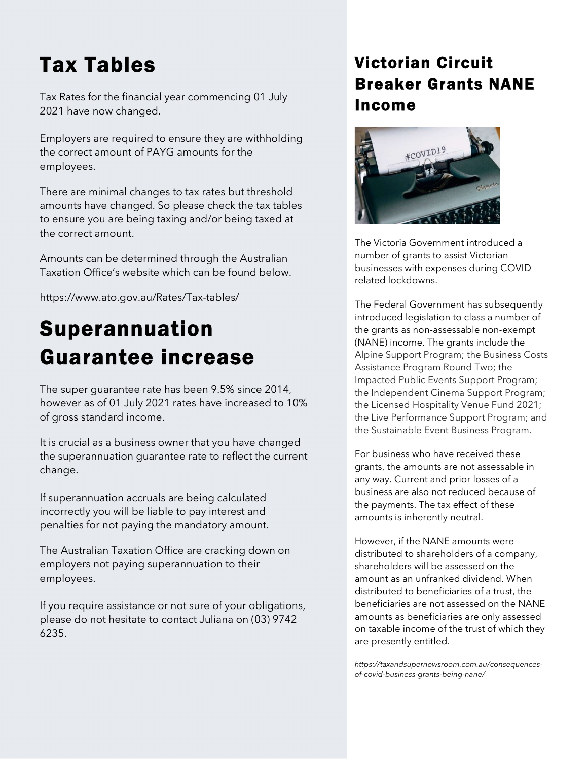# Tax Tables

Tax Rates for the financial year commencing 01 July 2021 have now changed.

Employers are required to ensure they are withholding the correct amount of PAYG amounts for the employees.

There are minimal changes to tax rates but threshold amounts have changed. So please check the tax tables to ensure you are being taxing and/or being taxed at the correct amount.

Amounts can be determined through the Australian Taxation Office's website which can be found below.

https://www.ato.gov.au/Rates/Tax-tables/

# Superannuation Guarantee increase

The super guarantee rate has been 9.5% since 2014, however as of 01 July 2021 rates have increased to 10% of gross standard income.

It is crucial as a business owner that you have changed the superannuation guarantee rate to reflect the current change.

If superannuation accruals are being calculated incorrectly you will be liable to pay interest and penalties for not paying the mandatory amount.

The Australian Taxation Office are cracking down on employers not paying superannuation to their employees.

If you require assistance or not sure of your obligations, please do not hesitate to contact Juliana on (03) 9742 6235.

# Victorian Circuit Breaker Grants NANE Income



The Victoria Government introduced a number of grants to assist Victorian businesses with expenses during COVID related lockdowns.

The Federal Government has subsequently introduced legislation to class a number of the grants as non-assessable non-exempt (NANE) income. The grants include the Alpine Support Program; the Business Costs Assistance Program Round Two; the Impacted Public Events Support Program; the Independent Cinema Support Program; the Licensed Hospitality Venue Fund 2021; the Live Performance Support Program; and the Sustainable Event Business Program.

For business who have received these grants, the amounts are not assessable in any way. Current and prior losses of a business are also not reduced because of the payments. The tax effect of these amounts is inherently neutral.

However, if the NANE amounts were distributed to shareholders of a company, shareholders will be assessed on the amount as an unfranked dividend. When distributed to beneficiaries of a trust, the beneficiaries are not assessed on the NANE amounts as beneficiaries are only assessed on taxable income of the trust of which they are presently entitled.

https://taxandsupernewsroom.com.au/consequencesof-covid-business-grants-being-nane/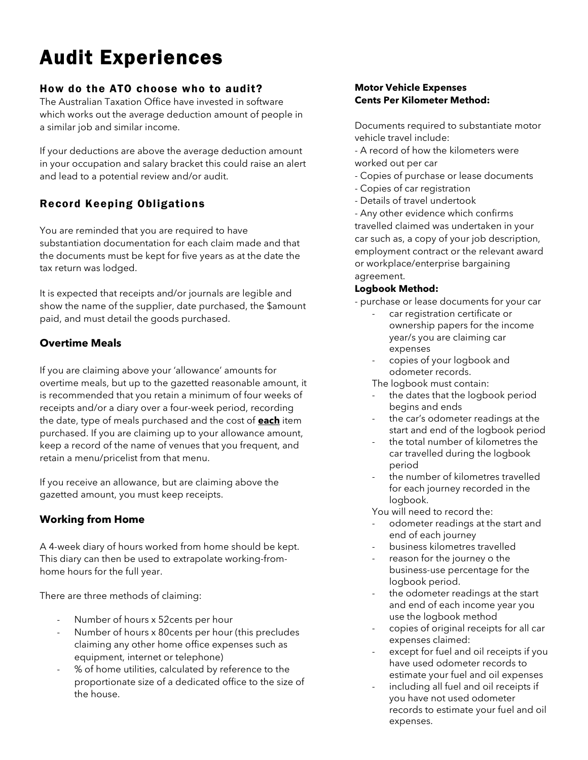# Audit Experiences

### How do the ATO choose who to audit?

The Australian Taxation Office have invested in software which works out the average deduction amount of people in a similar job and similar income.

If your deductions are above the average deduction amount in your occupation and salary bracket this could raise an alert and lead to a potential review and/or audit.

# Record Keeping Obligations

You are reminded that you are required to have substantiation documentation for each claim made and that the documents must be kept for five years as at the date the tax return was lodged.

It is expected that receipts and/or journals are legible and show the name of the supplier, date purchased, the \$amount paid, and must detail the goods purchased.

# Overtime Meals

If you are claiming above your 'allowance' amounts for overtime meals, but up to the gazetted reasonable amount, it is recommended that you retain a minimum of four weeks of receipts and/or a diary over a four-week period, recording the date, type of meals purchased and the cost of **each** item purchased. If you are claiming up to your allowance amount, keep a record of the name of venues that you frequent, and retain a menu/pricelist from that menu.

If you receive an allowance, but are claiming above the gazetted amount, you must keep receipts.

## Working from Home

A 4-week diary of hours worked from home should be kept. This diary can then be used to extrapolate working-fromhome hours for the full year.

There are three methods of claiming:

- Number of hours x 52cents per hour
- Number of hours x 80 cents per hour (this precludes claiming any other home office expenses such as equipment, internet or telephone)
- % of home utilities, calculated by reference to the proportionate size of a dedicated office to the size of the house.

### Motor Vehicle Expenses Cents Per Kilometer Method:

Documents required to substantiate motor vehicle travel include:

- A record of how the kilometers were worked out per car

- Copies of purchase or lease documents
- Copies of car registration
- Details of travel undertook

- Any other evidence which confirms travelled claimed was undertaken in your car such as, a copy of your job description, employment contract or the relevant award or workplace/enterprise bargaining agreement.

### Logbook Method:

- purchase or lease documents for your car

- car registration certificate or ownership papers for the income year/s you are claiming car expenses
- copies of your logbook and odometer records.

The logbook must contain:

- the dates that the logbook period begins and ends
- the car's odometer readings at the start and end of the logbook period
- the total number of kilometres the car travelled during the logbook period
- the number of kilometres travelled for each journey recorded in the logbook.

You will need to record the:

- odometer readings at the start and end of each journey
- business kilometres travelled
- reason for the journey o the business-use percentage for the logbook period.
- the odometer readings at the start and end of each income year you use the logbook method
- copies of original receipts for all car expenses claimed:
- except for fuel and oil receipts if you have used odometer records to estimate your fuel and oil expenses
- including all fuel and oil receipts if you have not used odometer records to estimate your fuel and oil expenses.